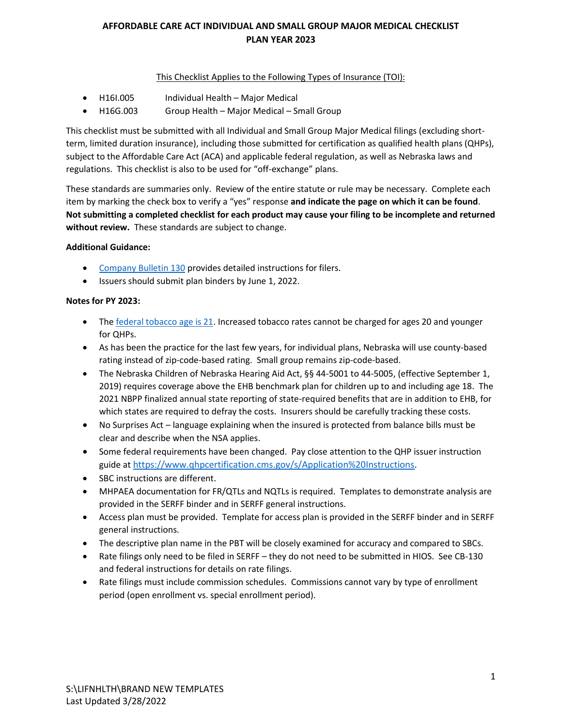#### This Checklist Applies to the Following Types of Insurance (TOI):

- H16I.005 Individual Health Major Medical
- H16G.003 Group Health Major Medical Small Group

This checklist must be submitted with all Individual and Small Group Major Medical filings (excluding shortterm, limited duration insurance), including those submitted for certification as qualified health plans (QHPs), subject to the Affordable Care Act (ACA) and applicable federal regulation, as well as Nebraska laws and regulations. This checklist is also to be used for "off-exchange" plans.

These standards are summaries only. Review of the entire statute or rule may be necessary. Complete each item by marking the check box to verify a "yes" response **and indicate the page on which it can be found**. **Not submitting a completed checklist for each product may cause your filing to be incomplete and returned without review.** These standards are subject to change.

#### **Additional Guidance:**

- [Company Bulletin 130](https://doi.nebraska.gov/sites/doi.nebraska.gov/files/doc/CB130Amended2020May20_0.pdf) provides detailed instructions for filers.
- Issuers should submit plan binders by June 1, 2022.

#### **Notes for PY 2023:**

- The [federal tobacco age is 21.](https://www.fda.gov/tobacco-products/retail-sales-tobacco-products/tobacco-21) Increased tobacco rates cannot be charged for ages 20 and younger for QHPs.
- As has been the practice for the last few years, for individual plans, Nebraska will use county-based rating instead of zip-code-based rating. Small group remains zip-code-based.
- The Nebraska Children of Nebraska Hearing Aid Act, §§ 44-5001 to 44-5005, (effective September 1, 2019) requires coverage above the EHB benchmark plan for children up to and including age 18. The 2021 NBPP finalized annual state reporting of state-required benefits that are in addition to EHB, for which states are required to defray the costs. Insurers should be carefully tracking these costs.
- No Surprises Act language explaining when the insured is protected from balance bills must be clear and describe when the NSA applies.
- Some federal requirements have been changed. Pay close attention to the QHP issuer instruction guide at [https://www.qhpcertification.cms.gov/s/Application%20Instructions](https://gcc02.safelinks.protection.outlook.com/?url=https%3A%2F%2Fwww.qhpcertification.cms.gov%2Fs%2FApplication%2520Instructions&data=04%7C01%7CMaggie.Reinert%40nebraska.gov%7C54632c2026fb438c9f8d08da16524fab%7C043207dfe6894bf6902001038f11f0b1%7C0%7C0%7C637846840018356641%7CUnknown%7CTWFpbGZsb3d8eyJWIjoiMC4wLjAwMDAiLCJQIjoiV2luMzIiLCJBTiI6Ik1haWwiLCJXVCI6Mn0%3D%7C3000&sdata=1TsaOHOTxU3GI4kw7rp%2FLJX%2BSrQM%2BYhsZjVjrpA43go%3D&reserved=0).
- SBC instructions are different.
- MHPAEA documentation for FR/QTLs and NQTLs is required. Templates to demonstrate analysis are provided in the SERFF binder and in SERFF general instructions.
- Access plan must be provided. Template for access plan is provided in the SERFF binder and in SERFF general instructions.
- The descriptive plan name in the PBT will be closely examined for accuracy and compared to SBCs.
- Rate filings only need to be filed in SERFF they do not need to be submitted in HIOS. See CB-130 and federal instructions for details on rate filings.
- Rate filings must include commission schedules. Commissions cannot vary by type of enrollment period (open enrollment vs. special enrollment period).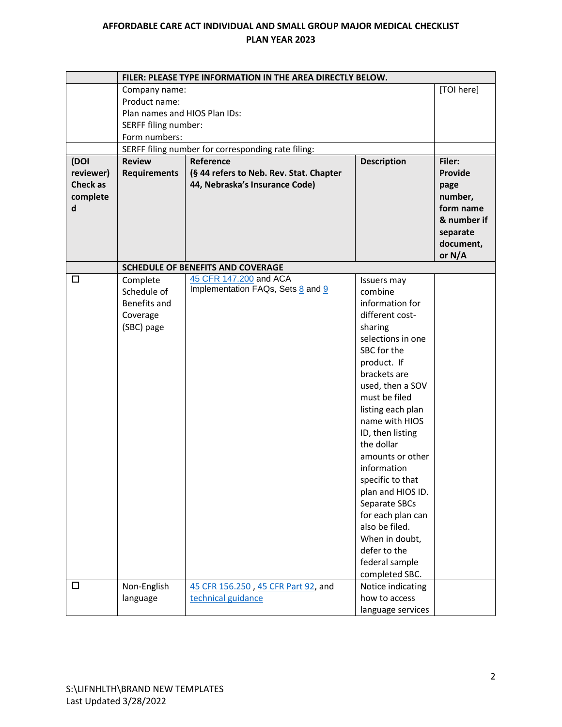|                 | FILER: PLEASE TYPE INFORMATION IN THE AREA DIRECTLY BELOW. |                                                    |                    |                |
|-----------------|------------------------------------------------------------|----------------------------------------------------|--------------------|----------------|
|                 | Company name:                                              |                                                    |                    | [TOI here]     |
|                 | Product name:                                              |                                                    |                    |                |
|                 | Plan names and HIOS Plan IDs:                              |                                                    |                    |                |
|                 | SERFF filing number:                                       |                                                    |                    |                |
|                 | Form numbers:                                              |                                                    |                    |                |
|                 |                                                            | SERFF filing number for corresponding rate filing: |                    |                |
| (DOI            | <b>Review</b>                                              | Reference                                          | <b>Description</b> | Filer:         |
| reviewer)       | <b>Requirements</b>                                        | (§ 44 refers to Neb. Rev. Stat. Chapter            |                    | <b>Provide</b> |
| <b>Check as</b> |                                                            | 44, Nebraska's Insurance Code)                     |                    | page           |
| complete        |                                                            |                                                    |                    | number,        |
| d               |                                                            |                                                    |                    | form name      |
|                 |                                                            |                                                    |                    | & number if    |
|                 |                                                            |                                                    |                    | separate       |
|                 |                                                            |                                                    |                    | document,      |
|                 |                                                            |                                                    |                    | or N/A         |
|                 |                                                            | <b>SCHEDULE OF BENEFITS AND COVERAGE</b>           |                    |                |
| □               | Complete                                                   | 45 CFR 147.200 and ACA                             | Issuers may        |                |
|                 | Schedule of                                                | Implementation FAQs, Sets 8 and 9                  | combine            |                |
|                 | Benefits and                                               |                                                    | information for    |                |
|                 | Coverage                                                   |                                                    | different cost-    |                |
|                 | (SBC) page                                                 |                                                    | sharing            |                |
|                 |                                                            |                                                    | selections in one  |                |
|                 |                                                            |                                                    | SBC for the        |                |
|                 |                                                            |                                                    | product. If        |                |
|                 |                                                            |                                                    | brackets are       |                |
|                 |                                                            |                                                    | used, then a SOV   |                |
|                 |                                                            |                                                    | must be filed      |                |
|                 |                                                            |                                                    | listing each plan  |                |
|                 |                                                            |                                                    | name with HIOS     |                |
|                 |                                                            |                                                    | ID, then listing   |                |
|                 |                                                            |                                                    | the dollar         |                |
|                 |                                                            |                                                    | amounts or other   |                |
|                 |                                                            |                                                    | information        |                |
|                 |                                                            |                                                    | specific to that   |                |
|                 |                                                            |                                                    | plan and HIOS ID.  |                |
|                 |                                                            |                                                    | Separate SBCs      |                |
|                 |                                                            |                                                    | for each plan can  |                |
|                 |                                                            |                                                    | also be filed.     |                |
|                 |                                                            |                                                    | When in doubt,     |                |
|                 |                                                            |                                                    | defer to the       |                |
|                 |                                                            |                                                    | federal sample     |                |
|                 |                                                            |                                                    | completed SBC.     |                |
| □               | Non-English                                                | 45 CFR 156.250, 45 CFR Part 92, and                | Notice indicating  |                |
|                 | language                                                   | technical guidance                                 | how to access      |                |
|                 |                                                            |                                                    | language services  |                |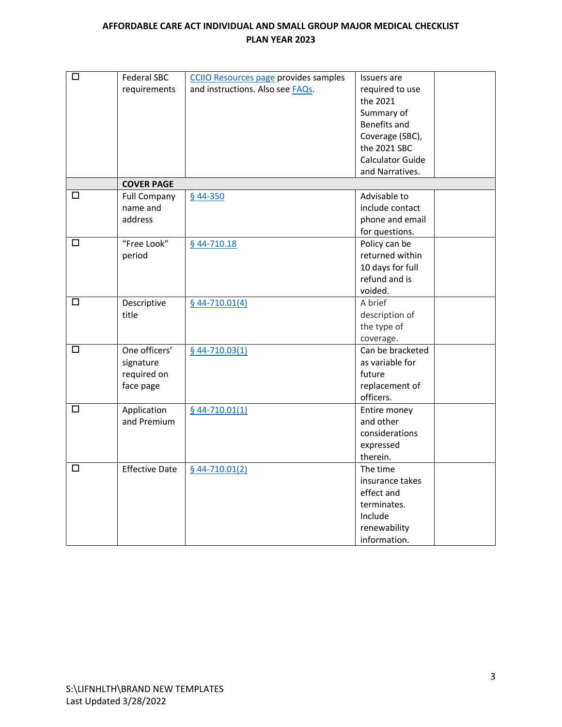| □      | <b>Federal SBC</b>    | <b>CCIIO Resources page provides samples</b> | Issuers are             |
|--------|-----------------------|----------------------------------------------|-------------------------|
|        | requirements          | and instructions. Also see FAQs.             | required to use         |
|        |                       |                                              | the 2021                |
|        |                       |                                              | Summary of              |
|        |                       |                                              | Benefits and            |
|        |                       |                                              | Coverage (SBC),         |
|        |                       |                                              | the 2021 SBC            |
|        |                       |                                              | <b>Calculator Guide</b> |
|        |                       |                                              | and Narratives.         |
|        | <b>COVER PAGE</b>     |                                              |                         |
| $\Box$ | <b>Full Company</b>   | $$44-350$                                    | Advisable to            |
|        | name and              |                                              | include contact         |
|        | address               |                                              | phone and email         |
|        |                       |                                              | for questions.          |
| □      | "Free Look"           | $$44-710.18$                                 | Policy can be           |
|        | period                |                                              | returned within         |
|        |                       |                                              | 10 days for full        |
|        |                       |                                              | refund and is           |
|        |                       |                                              | voided.                 |
| □      | Descriptive           | $644 - 710.01(4)$                            | A brief                 |
|        | title                 |                                              | description of          |
|        |                       |                                              | the type of             |
|        |                       |                                              | coverage.               |
| $\Box$ | One officers'         | $$44-710.03(1)$                              | Can be bracketed        |
|        | signature             |                                              | as variable for         |
|        | required on           |                                              | future                  |
|        | face page             |                                              | replacement of          |
|        |                       |                                              | officers.               |
| □      | Application           | $$44-710.01(1)$                              | Entire money            |
|        | and Premium           |                                              | and other               |
|        |                       |                                              | considerations          |
|        |                       |                                              | expressed               |
|        |                       |                                              | therein.                |
| $\Box$ | <b>Effective Date</b> | $$44-710.01(2)$                              | The time                |
|        |                       |                                              | insurance takes         |
|        |                       |                                              | effect and              |
|        |                       |                                              | terminates.             |
|        |                       |                                              | Include                 |
|        |                       |                                              | renewability            |
|        |                       |                                              | information.            |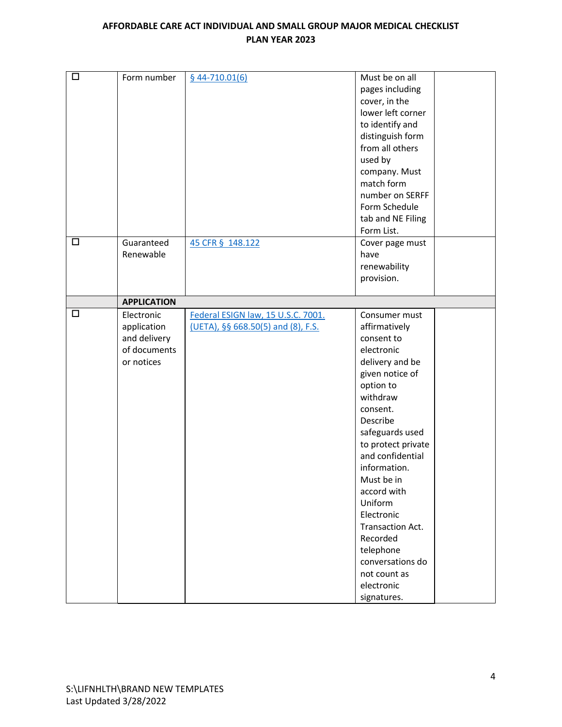| $\Box$ | Form number                                                             | $$44-710.01(6)$                                                          | Must be on all<br>pages including<br>cover, in the<br>lower left corner<br>to identify and<br>distinguish form<br>from all others<br>used by<br>company. Must<br>match form<br>number on SERFF<br>Form Schedule<br>tab and NE Filing<br>Form List.                                                                                                                                                 |
|--------|-------------------------------------------------------------------------|--------------------------------------------------------------------------|----------------------------------------------------------------------------------------------------------------------------------------------------------------------------------------------------------------------------------------------------------------------------------------------------------------------------------------------------------------------------------------------------|
| $\Box$ | Guaranteed<br>Renewable                                                 | 45 CFR § 148.122                                                         | Cover page must<br>have<br>renewability<br>provision.                                                                                                                                                                                                                                                                                                                                              |
|        | <b>APPLICATION</b>                                                      |                                                                          |                                                                                                                                                                                                                                                                                                                                                                                                    |
| $\Box$ | Electronic<br>application<br>and delivery<br>of documents<br>or notices | Federal ESIGN law, 15 U.S.C. 7001.<br>(UETA), §§ 668.50(5) and (8), F.S. | Consumer must<br>affirmatively<br>consent to<br>electronic<br>delivery and be<br>given notice of<br>option to<br>withdraw<br>consent.<br>Describe<br>safeguards used<br>to protect private<br>and confidential<br>information.<br>Must be in<br>accord with<br>Uniform<br>Electronic<br>Transaction Act.<br>Recorded<br>telephone<br>conversations do<br>not count as<br>electronic<br>signatures. |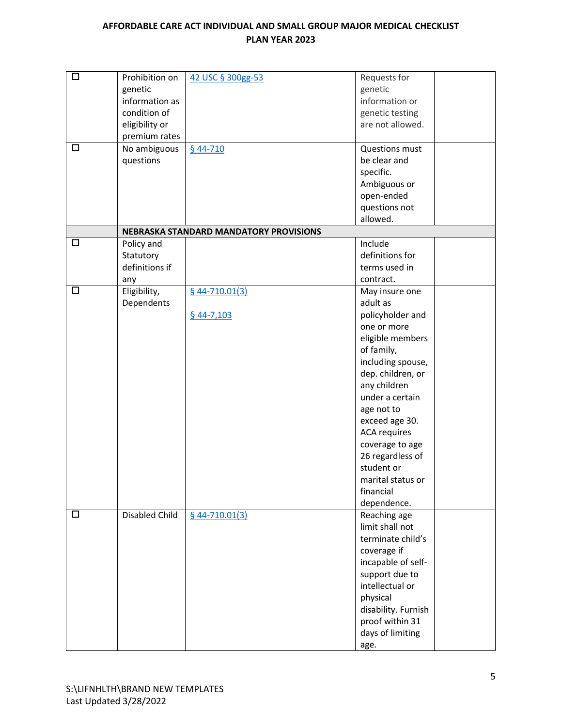| $\Box$ | Prohibition on        | 42 USC § 300gg-53                      | Requests for        |
|--------|-----------------------|----------------------------------------|---------------------|
|        | genetic               |                                        | genetic             |
|        | information as        |                                        | information or      |
|        | condition of          |                                        | genetic testing     |
|        | eligibility or        |                                        | are not allowed.    |
|        | premium rates         |                                        |                     |
| □      | No ambiguous          | $§$ 44-710                             | Questions must      |
|        | questions             |                                        | be clear and        |
|        |                       |                                        | specific.           |
|        |                       |                                        | Ambiguous or        |
|        |                       |                                        | open-ended          |
|        |                       |                                        | questions not       |
|        |                       |                                        | allowed.            |
|        |                       | NEBRASKA STANDARD MANDATORY PROVISIONS |                     |
| $\Box$ | Policy and            |                                        | Include             |
|        | Statutory             |                                        | definitions for     |
|        | definitions if        |                                        | terms used in       |
|        | any                   |                                        | contract.           |
| □      | Eligibility,          | $644 - 710.01(3)$                      | May insure one      |
|        | Dependents            |                                        | adult as            |
|        |                       | $$44-7,103$                            | policyholder and    |
|        |                       |                                        | one or more         |
|        |                       |                                        | eligible members    |
|        |                       |                                        | of family,          |
|        |                       |                                        | including spouse,   |
|        |                       |                                        | dep. children, or   |
|        |                       |                                        | any children        |
|        |                       |                                        | under a certain     |
|        |                       |                                        | age not to          |
|        |                       |                                        | exceed age 30.      |
|        |                       |                                        | <b>ACA requires</b> |
|        |                       |                                        | coverage to age     |
|        |                       |                                        | 26 regardless of    |
|        |                       |                                        | student or          |
|        |                       |                                        | marital status or   |
|        |                       |                                        | financial           |
|        |                       |                                        | dependence.         |
| □      | <b>Disabled Child</b> | $$44-710.01(3)$                        | Reaching age        |
|        |                       |                                        | limit shall not     |
|        |                       |                                        | terminate child's   |
|        |                       |                                        | coverage if         |
|        |                       |                                        | incapable of self-  |
|        |                       |                                        | support due to      |
|        |                       |                                        | intellectual or     |
|        |                       |                                        | physical            |
|        |                       |                                        | disability. Furnish |
|        |                       |                                        | proof within 31     |
|        |                       |                                        | days of limiting    |
|        |                       |                                        | age.                |
|        |                       |                                        |                     |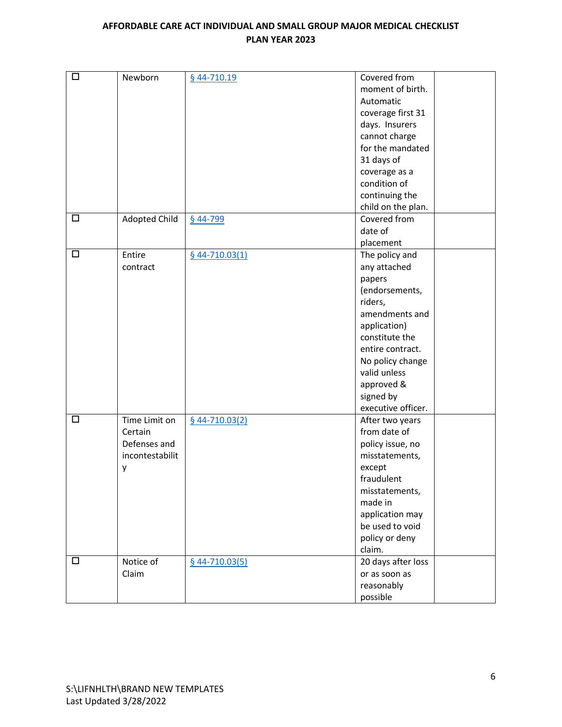| $\Box$ | Newborn         | § 44-710.19       | Covered from       |
|--------|-----------------|-------------------|--------------------|
|        |                 |                   | moment of birth.   |
|        |                 |                   | Automatic          |
|        |                 |                   | coverage first 31  |
|        |                 |                   | days. Insurers     |
|        |                 |                   | cannot charge      |
|        |                 |                   | for the mandated   |
|        |                 |                   | 31 days of         |
|        |                 |                   | coverage as a      |
|        |                 |                   | condition of       |
|        |                 |                   | continuing the     |
|        |                 |                   | child on the plan. |
| $\Box$ | Adopted Child   | § 44-799          | Covered from       |
|        |                 |                   | date of            |
|        |                 |                   | placement          |
| $\Box$ | Entire          | $644 - 710.03(1)$ | The policy and     |
|        | contract        |                   | any attached       |
|        |                 |                   | papers             |
|        |                 |                   | (endorsements,     |
|        |                 |                   | riders,            |
|        |                 |                   | amendments and     |
|        |                 |                   | application)       |
|        |                 |                   | constitute the     |
|        |                 |                   | entire contract.   |
|        |                 |                   | No policy change   |
|        |                 |                   | valid unless       |
|        |                 |                   | approved &         |
|        |                 |                   | signed by          |
|        |                 |                   | executive officer. |
| $\Box$ | Time Limit on   | $644 - 710.03(2)$ | After two years    |
|        | Certain         |                   | from date of       |
|        | Defenses and    |                   | policy issue, no   |
|        | incontestabilit |                   | misstatements,     |
|        | у               |                   | except             |
|        |                 |                   | fraudulent         |
|        |                 |                   | misstatements,     |
|        |                 |                   | made in            |
|        |                 |                   | application may    |
|        |                 |                   | be used to void    |
|        |                 |                   | policy or deny     |
|        |                 |                   | claim.             |
| $\Box$ | Notice of       | $644 - 710.03(5)$ | 20 days after loss |
|        | Claim           |                   | or as soon as      |
|        |                 |                   | reasonably         |
|        |                 |                   | possible           |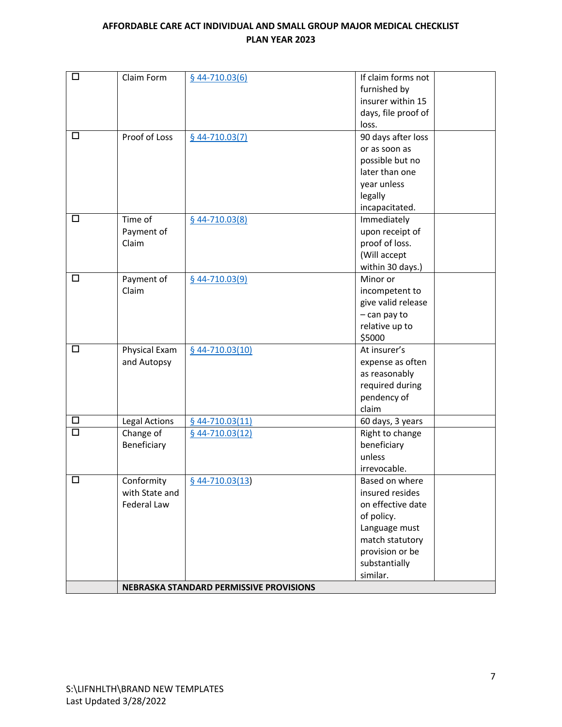| $\Box$ | Claim Form           | $644 - 710.03(6)$                       | If claim forms not  |
|--------|----------------------|-----------------------------------------|---------------------|
|        |                      |                                         | furnished by        |
|        |                      |                                         | insurer within 15   |
|        |                      |                                         | days, file proof of |
|        |                      |                                         | loss.               |
| □      | Proof of Loss        | $644 - 710.03(7)$                       | 90 days after loss  |
|        |                      |                                         | or as soon as       |
|        |                      |                                         | possible but no     |
|        |                      |                                         | later than one      |
|        |                      |                                         | year unless         |
|        |                      |                                         | legally             |
|        |                      |                                         | incapacitated.      |
| $\Box$ | Time of              | $644 - 710.03(8)$                       | Immediately         |
|        | Payment of           |                                         | upon receipt of     |
|        | Claim                |                                         | proof of loss.      |
|        |                      |                                         | (Will accept        |
|        |                      |                                         | within 30 days.)    |
| $\Box$ | Payment of           | $$44-710.03(9)$                         | Minor or            |
|        | Claim                |                                         | incompetent to      |
|        |                      |                                         | give valid release  |
|        |                      |                                         | $-$ can pay to      |
|        |                      |                                         | relative up to      |
|        |                      |                                         | \$5000              |
| $\Box$ | Physical Exam        | $$44-710.03(10)$                        | At insurer's        |
|        | and Autopsy          |                                         | expense as often    |
|        |                      |                                         | as reasonably       |
|        |                      |                                         | required during     |
|        |                      |                                         | pendency of         |
|        |                      |                                         | claim               |
| $\Box$ | <b>Legal Actions</b> | $644 - 710.03(11)$                      | 60 days, 3 years    |
| $\Box$ | Change of            | $$44-710.03(12)$                        | Right to change     |
|        | Beneficiary          |                                         | beneficiary         |
|        |                      |                                         | unless              |
|        |                      |                                         | irrevocable.        |
| п      | Conformity           | $644 - 710.03(13)$                      | Based on where      |
|        | with State and       |                                         | insured resides     |
|        | Federal Law          |                                         | on effective date   |
|        |                      |                                         | of policy.          |
|        |                      |                                         | Language must       |
|        |                      |                                         | match statutory     |
|        |                      |                                         | provision or be     |
|        |                      |                                         | substantially       |
|        |                      |                                         | similar.            |
|        |                      | NEBRASKA STANDARD PERMISSIVE PROVISIONS |                     |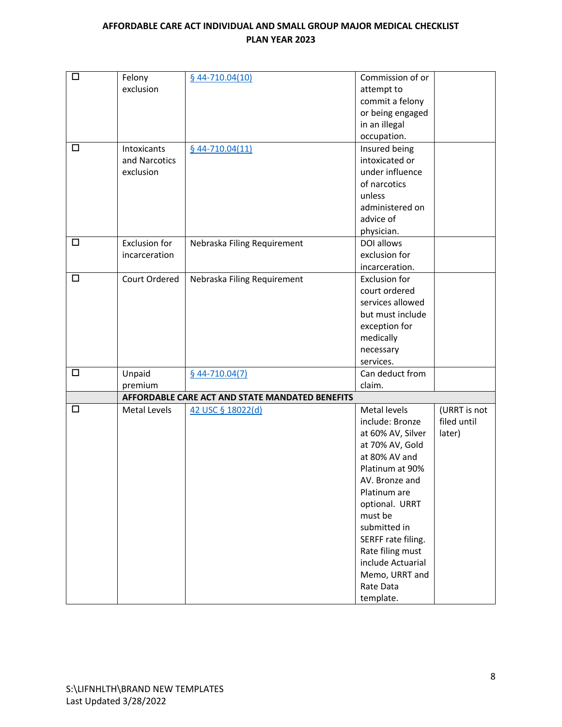| $\Box$ | Felony               | $644 - 710.04(10)$                              | Commission of or     |              |
|--------|----------------------|-------------------------------------------------|----------------------|--------------|
|        | exclusion            |                                                 | attempt to           |              |
|        |                      |                                                 | commit a felony      |              |
|        |                      |                                                 | or being engaged     |              |
|        |                      |                                                 | in an illegal        |              |
|        |                      |                                                 | occupation.          |              |
| □      | Intoxicants          | $644 - 710.04(11)$                              | Insured being        |              |
|        | and Narcotics        |                                                 | intoxicated or       |              |
|        | exclusion            |                                                 | under influence      |              |
|        |                      |                                                 | of narcotics         |              |
|        |                      |                                                 | unless               |              |
|        |                      |                                                 | administered on      |              |
|        |                      |                                                 | advice of            |              |
|        |                      |                                                 | physician.           |              |
| $\Box$ | <b>Exclusion for</b> | Nebraska Filing Requirement                     | DOI allows           |              |
|        | incarceration        |                                                 | exclusion for        |              |
|        |                      |                                                 | incarceration.       |              |
| $\Box$ | Court Ordered        | Nebraska Filing Requirement                     | <b>Exclusion for</b> |              |
|        |                      |                                                 | court ordered        |              |
|        |                      |                                                 | services allowed     |              |
|        |                      |                                                 | but must include     |              |
|        |                      |                                                 | exception for        |              |
|        |                      |                                                 | medically            |              |
|        |                      |                                                 | necessary            |              |
|        |                      |                                                 | services.            |              |
| $\Box$ | Unpaid               | $$44-710.04(7)$                                 | Can deduct from      |              |
|        | premium              |                                                 | claim.               |              |
|        |                      | AFFORDABLE CARE ACT AND STATE MANDATED BENEFITS |                      |              |
| $\Box$ | Metal Levels         | 42 USC § 18022(d)                               | Metal levels         | (URRT is not |
|        |                      |                                                 | include: Bronze      | filed until  |
|        |                      |                                                 | at 60% AV, Silver    | later)       |
|        |                      |                                                 | at 70% AV, Gold      |              |
|        |                      |                                                 | at 80% AV and        |              |
|        |                      |                                                 | Platinum at 90%      |              |
|        |                      |                                                 | AV. Bronze and       |              |
|        |                      |                                                 | Platinum are         |              |
|        |                      |                                                 | optional. URRT       |              |
|        |                      |                                                 | must be              |              |
|        |                      |                                                 | submitted in         |              |
|        |                      |                                                 | SERFF rate filing.   |              |
|        |                      |                                                 | Rate filing must     |              |
|        |                      |                                                 | include Actuarial    |              |
|        |                      |                                                 | Memo, URRT and       |              |
|        |                      |                                                 | Rate Data            |              |
|        |                      |                                                 | template.            |              |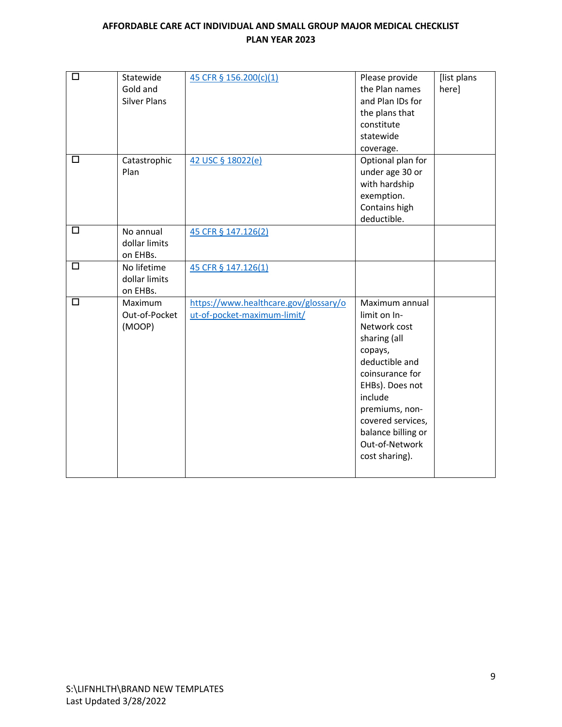| $\Box$<br>$\Box$ | Statewide<br>Gold and<br><b>Silver Plans</b> | 45 CFR § 156.200(c)(1)                                               | Please provide<br>the Plan names<br>and Plan IDs for<br>the plans that<br>constitute<br>statewide<br>coverage.                                                                                                                                | [list plans<br>here] |
|------------------|----------------------------------------------|----------------------------------------------------------------------|-----------------------------------------------------------------------------------------------------------------------------------------------------------------------------------------------------------------------------------------------|----------------------|
|                  | Catastrophic<br>Plan                         | 42 USC § 18022(e)                                                    | Optional plan for<br>under age 30 or<br>with hardship<br>exemption.<br>Contains high<br>deductible.                                                                                                                                           |                      |
| $\Box$           | No annual<br>dollar limits<br>on EHBs.       | 45 CFR § 147.126(2)                                                  |                                                                                                                                                                                                                                               |                      |
| □                | No lifetime<br>dollar limits<br>on EHBs.     | 45 CFR § 147.126(1)                                                  |                                                                                                                                                                                                                                               |                      |
| $\Box$           | Maximum<br>Out-of-Pocket<br>(MOOP)           | https://www.healthcare.gov/glossary/o<br>ut-of-pocket-maximum-limit/ | Maximum annual<br>limit on In-<br>Network cost<br>sharing (all<br>copays,<br>deductible and<br>coinsurance for<br>EHBs). Does not<br>include<br>premiums, non-<br>covered services,<br>balance billing or<br>Out-of-Network<br>cost sharing). |                      |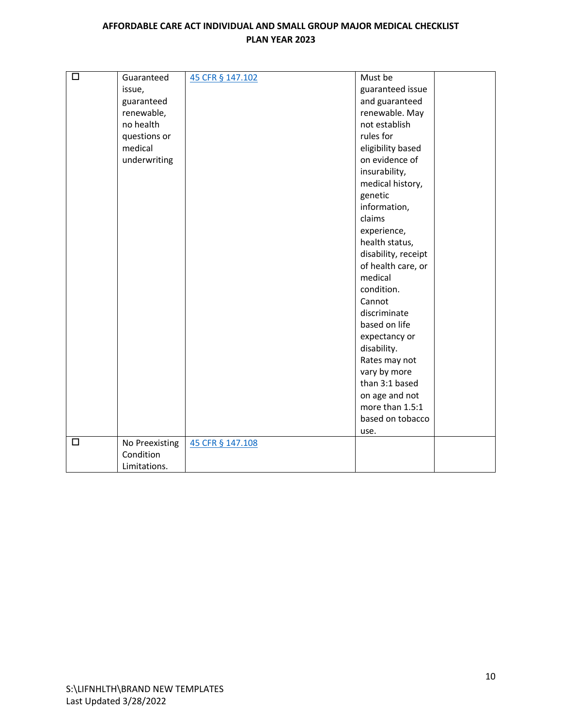| $\Box$ | Guaranteed     | 45 CFR § 147.102 | Must be             |
|--------|----------------|------------------|---------------------|
|        | issue,         |                  | guaranteed issue    |
|        | guaranteed     |                  | and guaranteed      |
|        | renewable,     |                  | renewable. May      |
|        | no health      |                  | not establish       |
|        | questions or   |                  | rules for           |
|        | medical        |                  | eligibility based   |
|        | underwriting   |                  | on evidence of      |
|        |                |                  | insurability,       |
|        |                |                  | medical history,    |
|        |                |                  | genetic             |
|        |                |                  | information,        |
|        |                |                  | claims              |
|        |                |                  | experience,         |
|        |                |                  | health status,      |
|        |                |                  | disability, receipt |
|        |                |                  | of health care, or  |
|        |                |                  | medical             |
|        |                |                  | condition.          |
|        |                |                  | Cannot              |
|        |                |                  | discriminate        |
|        |                |                  | based on life       |
|        |                |                  | expectancy or       |
|        |                |                  | disability.         |
|        |                |                  | Rates may not       |
|        |                |                  | vary by more        |
|        |                |                  | than 3:1 based      |
|        |                |                  | on age and not      |
|        |                |                  | more than 1.5:1     |
|        |                |                  | based on tobacco    |
|        |                |                  | use.                |
| □      | No Preexisting | 45 CFR § 147.108 |                     |
|        | Condition      |                  |                     |
|        | Limitations.   |                  |                     |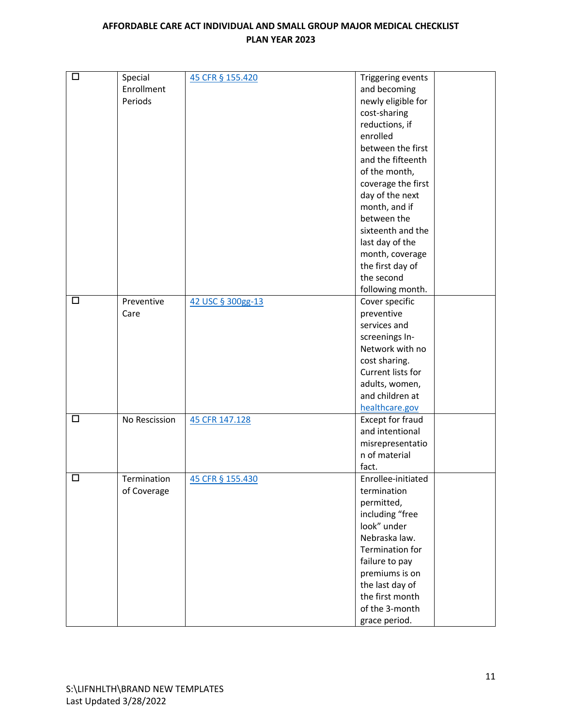| $\Box$      | Special<br>Enrollment<br>Periods    | 45 CFR § 155.420                    | Triggering events<br>and becoming<br>newly eligible for<br>cost-sharing<br>reductions, if<br>enrolled<br>between the first<br>and the fifteenth<br>of the month,<br>coverage the first<br>day of the next<br>month, and if<br>between the<br>sixteenth and the<br>last day of the<br>month, coverage<br>the first day of |
|-------------|-------------------------------------|-------------------------------------|--------------------------------------------------------------------------------------------------------------------------------------------------------------------------------------------------------------------------------------------------------------------------------------------------------------------------|
|             |                                     |                                     | the second                                                                                                                                                                                                                                                                                                               |
| □<br>$\Box$ | Preventive<br>Care<br>No Rescission | 42 USC § 300gg-13<br>45 CFR 147.128 | following month.<br>Cover specific<br>preventive<br>services and<br>screenings In-<br>Network with no<br>cost sharing.<br>Current lists for<br>adults, women,<br>and children at<br>healthcare.gov<br>Except for fraud<br>and intentional<br>misrepresentatio<br>n of material<br>fact.                                  |
| П           | Termination<br>of Coverage          | 45 CFR § 155.430                    | Enrollee-initiated<br>termination<br>permitted,<br>including "free<br>look" under<br>Nebraska law.<br>Termination for<br>failure to pay<br>premiums is on<br>the last day of<br>the first month<br>of the 3-month<br>grace period.                                                                                       |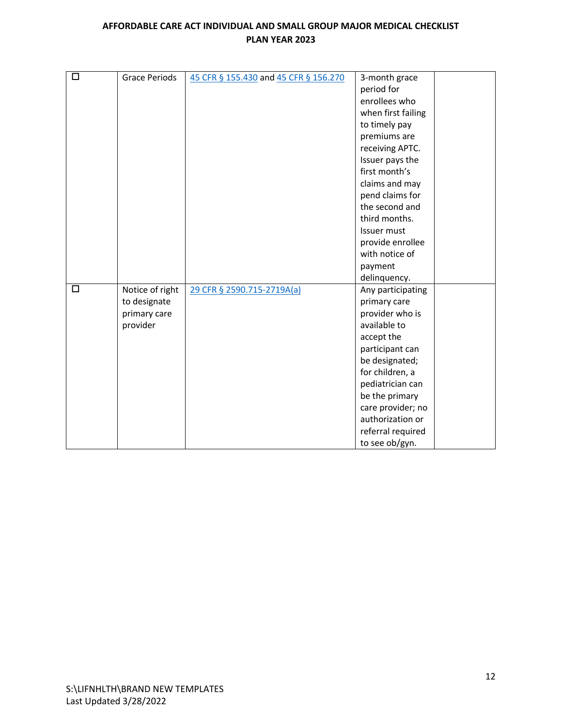| $\Box$ | <b>Grace Periods</b> | 45 CFR § 155.430 and 45 CFR § 156.270 | 3-month grace      |
|--------|----------------------|---------------------------------------|--------------------|
|        |                      |                                       | period for         |
|        |                      |                                       | enrollees who      |
|        |                      |                                       | when first failing |
|        |                      |                                       | to timely pay      |
|        |                      |                                       | premiums are       |
|        |                      |                                       | receiving APTC.    |
|        |                      |                                       |                    |
|        |                      |                                       | Issuer pays the    |
|        |                      |                                       | first month's      |
|        |                      |                                       | claims and may     |
|        |                      |                                       | pend claims for    |
|        |                      |                                       | the second and     |
|        |                      |                                       | third months.      |
|        |                      |                                       | Issuer must        |
|        |                      |                                       | provide enrollee   |
|        |                      |                                       | with notice of     |
|        |                      |                                       | payment            |
|        |                      |                                       | delinquency.       |
| $\Box$ | Notice of right      | 29 CFR § 2590.715-2719A(a)            | Any participating  |
|        | to designate         |                                       | primary care       |
|        | primary care         |                                       | provider who is    |
|        | provider             |                                       | available to       |
|        |                      |                                       | accept the         |
|        |                      |                                       | participant can    |
|        |                      |                                       | be designated;     |
|        |                      |                                       | for children, a    |
|        |                      |                                       | pediatrician can   |
|        |                      |                                       | be the primary     |
|        |                      |                                       | care provider; no  |
|        |                      |                                       | authorization or   |
|        |                      |                                       | referral required  |
|        |                      |                                       | to see ob/gyn.     |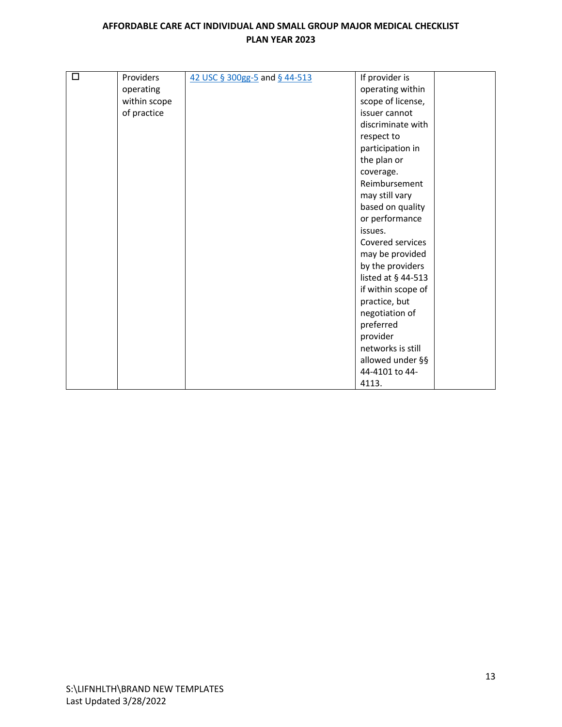| $\Box$ | Providers    | 42 USC § 300gg-5 and § 44-513 | If provider is     |
|--------|--------------|-------------------------------|--------------------|
|        | operating    |                               | operating within   |
|        | within scope |                               | scope of license,  |
|        | of practice  |                               | issuer cannot      |
|        |              |                               | discriminate with  |
|        |              |                               | respect to         |
|        |              |                               | participation in   |
|        |              |                               | the plan or        |
|        |              |                               | coverage.          |
|        |              |                               | Reimbursement      |
|        |              |                               | may still vary     |
|        |              |                               | based on quality   |
|        |              |                               | or performance     |
|        |              |                               | issues.            |
|        |              |                               | Covered services   |
|        |              |                               | may be provided    |
|        |              |                               | by the providers   |
|        |              |                               | listed at § 44-513 |
|        |              |                               | if within scope of |
|        |              |                               | practice, but      |
|        |              |                               | negotiation of     |
|        |              |                               | preferred          |
|        |              |                               | provider           |
|        |              |                               | networks is still  |
|        |              |                               | allowed under §§   |
|        |              |                               | 44-4101 to 44-     |
|        |              |                               | 4113.              |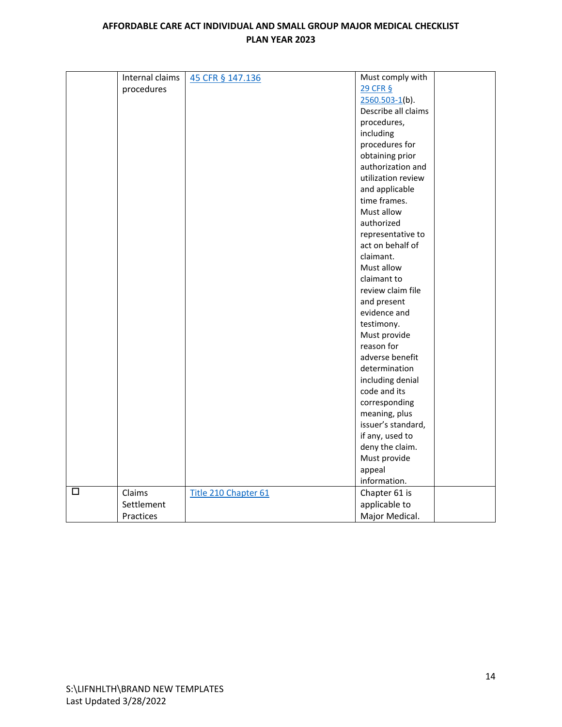|   | Internal claims | 45 CFR § 147.136     | Must comply with    |
|---|-----------------|----------------------|---------------------|
|   | procedures      |                      | 29 CFR §            |
|   |                 |                      | $2560.503 - 1(b)$ . |
|   |                 |                      | Describe all claims |
|   |                 |                      | procedures,         |
|   |                 |                      | including           |
|   |                 |                      | procedures for      |
|   |                 |                      | obtaining prior     |
|   |                 |                      | authorization and   |
|   |                 |                      | utilization review  |
|   |                 |                      | and applicable      |
|   |                 |                      | time frames.        |
|   |                 |                      | Must allow          |
|   |                 |                      | authorized          |
|   |                 |                      | representative to   |
|   |                 |                      | act on behalf of    |
|   |                 |                      | claimant.           |
|   |                 |                      | Must allow          |
|   |                 |                      | claimant to         |
|   |                 |                      | review claim file   |
|   |                 |                      | and present         |
|   |                 |                      | evidence and        |
|   |                 |                      | testimony.          |
|   |                 |                      | Must provide        |
|   |                 |                      | reason for          |
|   |                 |                      | adverse benefit     |
|   |                 |                      | determination       |
|   |                 |                      | including denial    |
|   |                 |                      | code and its        |
|   |                 |                      | corresponding       |
|   |                 |                      | meaning, plus       |
|   |                 |                      | issuer's standard,  |
|   |                 |                      | if any, used to     |
|   |                 |                      | deny the claim.     |
|   |                 |                      | Must provide        |
|   |                 |                      | appeal              |
|   |                 |                      | information.        |
| □ | Claims          | Title 210 Chapter 61 | Chapter 61 is       |
|   | Settlement      |                      | applicable to       |
|   | Practices       |                      | Major Medical.      |
|   |                 |                      |                     |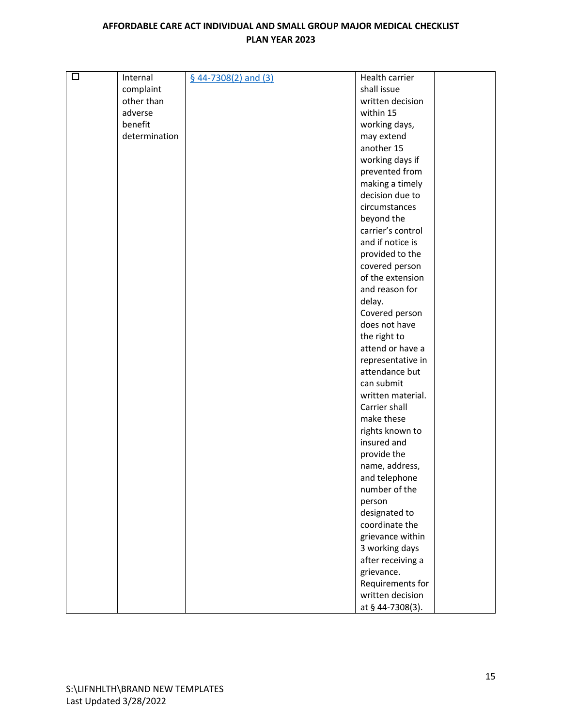| $\Box$ | Internal      | $$44-7308(2)$ and (3) | Health carrier                     |  |
|--------|---------------|-----------------------|------------------------------------|--|
|        | complaint     |                       | shall issue                        |  |
|        | other than    |                       | written decision                   |  |
|        | adverse       |                       | within 15                          |  |
|        | benefit       |                       | working days,                      |  |
|        | determination |                       | may extend                         |  |
|        |               |                       | another 15                         |  |
|        |               |                       | working days if                    |  |
|        |               |                       | prevented from                     |  |
|        |               |                       | making a timely                    |  |
|        |               |                       | decision due to                    |  |
|        |               |                       | circumstances                      |  |
|        |               |                       | beyond the                         |  |
|        |               |                       | carrier's control                  |  |
|        |               |                       | and if notice is                   |  |
|        |               |                       | provided to the                    |  |
|        |               |                       |                                    |  |
|        |               |                       | covered person                     |  |
|        |               |                       | of the extension<br>and reason for |  |
|        |               |                       |                                    |  |
|        |               |                       | delay.                             |  |
|        |               |                       | Covered person                     |  |
|        |               |                       | does not have                      |  |
|        |               |                       | the right to                       |  |
|        |               |                       | attend or have a                   |  |
|        |               |                       | representative in                  |  |
|        |               |                       | attendance but                     |  |
|        |               |                       | can submit                         |  |
|        |               |                       | written material.                  |  |
|        |               |                       | Carrier shall                      |  |
|        |               |                       | make these                         |  |
|        |               |                       | rights known to                    |  |
|        |               |                       | insured and                        |  |
|        |               |                       | provide the                        |  |
|        |               |                       | name, address,                     |  |
|        |               |                       | and telephone                      |  |
|        |               |                       | number of the                      |  |
|        |               |                       | person                             |  |
|        |               |                       | designated to                      |  |
|        |               |                       | coordinate the                     |  |
|        |               |                       | grievance within                   |  |
|        |               |                       | 3 working days                     |  |
|        |               |                       | after receiving a                  |  |
|        |               |                       | grievance.                         |  |
|        |               |                       | Requirements for                   |  |
|        |               |                       | written decision                   |  |
|        |               |                       | at § 44-7308(3).                   |  |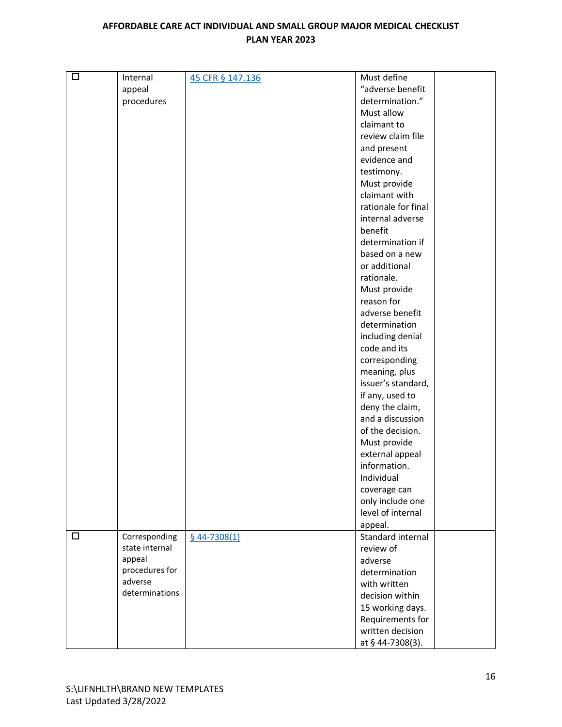| $\Box$ | Internal       | 45 CFR § 147.136 | Must define         |
|--------|----------------|------------------|---------------------|
|        | appeal         |                  | "adverse benefit    |
|        | procedures     |                  | determination."     |
|        |                |                  | Must allow          |
|        |                |                  | claimant to         |
|        |                |                  | review claim file   |
|        |                |                  |                     |
|        |                |                  | and present         |
|        |                |                  | evidence and        |
|        |                |                  | testimony.          |
|        |                |                  | Must provide        |
|        |                |                  | claimant with       |
|        |                |                  | rationale for final |
|        |                |                  | internal adverse    |
|        |                |                  | benefit             |
|        |                |                  | determination if    |
|        |                |                  | based on a new      |
|        |                |                  | or additional       |
|        |                |                  | rationale.          |
|        |                |                  | Must provide        |
|        |                |                  | reason for          |
|        |                |                  | adverse benefit     |
|        |                |                  | determination       |
|        |                |                  | including denial    |
|        |                |                  | code and its        |
|        |                |                  | corresponding       |
|        |                |                  | meaning, plus       |
|        |                |                  | issuer's standard,  |
|        |                |                  |                     |
|        |                |                  | if any, used to     |
|        |                |                  | deny the claim,     |
|        |                |                  | and a discussion    |
|        |                |                  | of the decision.    |
|        |                |                  | Must provide        |
|        |                |                  | external appeal     |
|        |                |                  | information.        |
|        |                |                  | Individual          |
|        |                |                  | coverage can        |
|        |                |                  | only include one    |
|        |                |                  | level of internal   |
|        |                |                  | appeal.             |
| $\Box$ | Corresponding  | $§$ 44-7308(1)   | Standard internal   |
|        | state internal |                  | review of           |
|        | appeal         |                  | adverse             |
|        | procedures for |                  | determination       |
|        | adverse        |                  | with written        |
|        | determinations |                  | decision within     |
|        |                |                  | 15 working days.    |
|        |                |                  | Requirements for    |
|        |                |                  | written decision    |
|        |                |                  | at § 44-7308(3).    |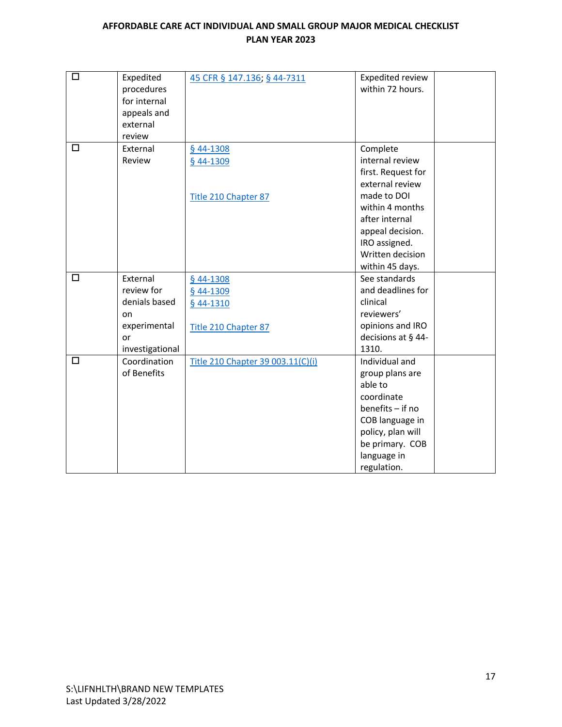| $\Box$ | Expedited<br>procedures<br>for internal | 45 CFR § 147.136; § 44-7311       | Expedited review<br>within 72 hours. |
|--------|-----------------------------------------|-----------------------------------|--------------------------------------|
|        | appeals and                             |                                   |                                      |
|        | external                                |                                   |                                      |
|        | review                                  |                                   |                                      |
| □      | External                                | $$44-1308$                        | Complete                             |
|        | Review                                  | § 44-1309                         | internal review                      |
|        |                                         |                                   | first. Request for                   |
|        |                                         |                                   | external review                      |
|        |                                         | Title 210 Chapter 87              | made to DOI                          |
|        |                                         |                                   | within 4 months                      |
|        |                                         |                                   | after internal                       |
|        |                                         |                                   | appeal decision.                     |
|        |                                         |                                   | IRO assigned.                        |
|        |                                         |                                   | Written decision                     |
|        |                                         |                                   | within 45 days.                      |
| □      | External                                | § 44-1308                         | See standards                        |
|        | review for                              | § 44-1309                         | and deadlines for                    |
|        | denials based                           | § 44-1310                         | clinical                             |
|        | on                                      |                                   | reviewers'                           |
|        | experimental                            | Title 210 Chapter 87              | opinions and IRO                     |
|        | or                                      |                                   | decisions at § 44-                   |
|        | investigational                         |                                   | 1310.                                |
| □      | Coordination                            | Title 210 Chapter 39 003.11(C)(i) | Individual and                       |
|        | of Benefits                             |                                   | group plans are                      |
|        |                                         |                                   | able to                              |
|        |                                         |                                   | coordinate                           |
|        |                                         |                                   | $benefits - if no$                   |
|        |                                         |                                   | COB language in                      |
|        |                                         |                                   | policy, plan will                    |
|        |                                         |                                   | be primary. COB                      |
|        |                                         |                                   | language in                          |
|        |                                         |                                   | regulation.                          |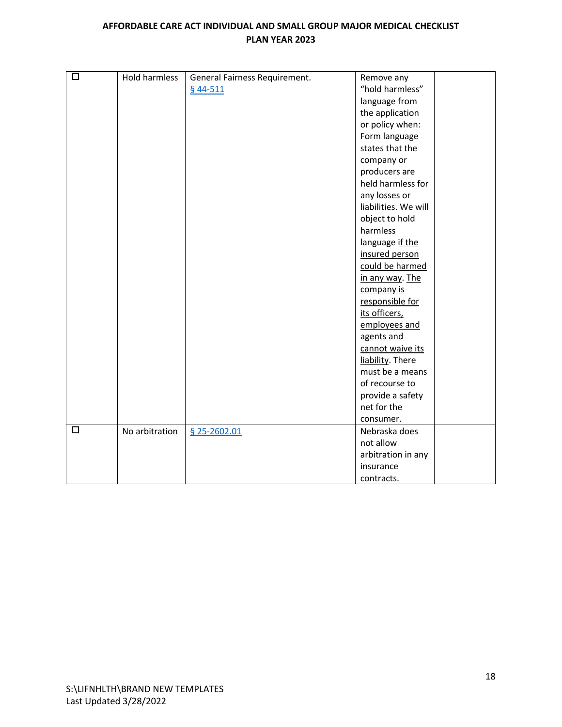| $\Box$ | Hold harmless  | General Fairness Requirement. | Remove any           |
|--------|----------------|-------------------------------|----------------------|
|        |                | $§$ 44-511                    | "hold harmless"      |
|        |                |                               | language from        |
|        |                |                               | the application      |
|        |                |                               |                      |
|        |                |                               | or policy when:      |
|        |                |                               | Form language        |
|        |                |                               | states that the      |
|        |                |                               | company or           |
|        |                |                               | producers are        |
|        |                |                               | held harmless for    |
|        |                |                               | any losses or        |
|        |                |                               | liabilities. We will |
|        |                |                               | object to hold       |
|        |                |                               | harmless             |
|        |                |                               | language if the      |
|        |                |                               | insured person       |
|        |                |                               | could be harmed      |
|        |                |                               | in any way. The      |
|        |                |                               | company is           |
|        |                |                               | responsible for      |
|        |                |                               | its officers,        |
|        |                |                               | employees and        |
|        |                |                               | agents and           |
|        |                |                               | cannot waive its     |
|        |                |                               | liability. There     |
|        |                |                               | must be a means      |
|        |                |                               | of recourse to       |
|        |                |                               | provide a safety     |
|        |                |                               | net for the          |
|        |                |                               | consumer.            |
| $\Box$ | No arbitration | $$25-2602.01$                 | Nebraska does        |
|        |                |                               | not allow            |
|        |                |                               | arbitration in any   |
|        |                |                               | insurance            |
|        |                |                               | contracts.           |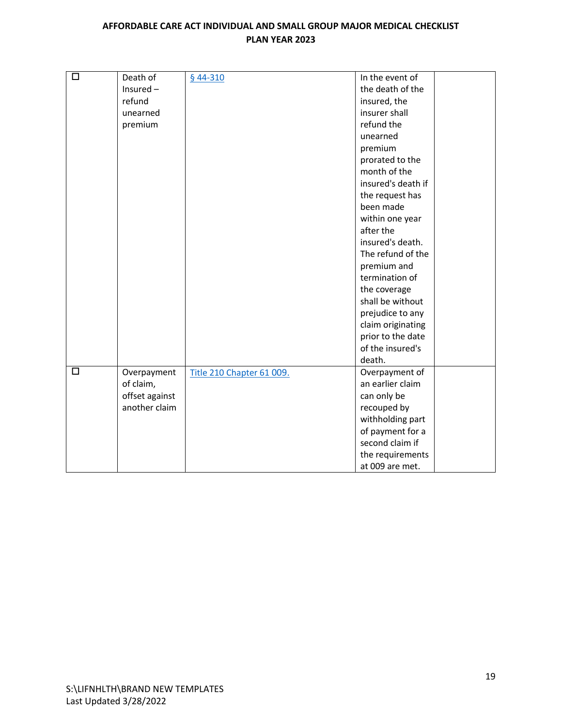| $\Box$ | Death of       | $§$ 44-310                | In the event of    |
|--------|----------------|---------------------------|--------------------|
|        | Insured $-$    |                           | the death of the   |
|        | refund         |                           | insured, the       |
|        | unearned       |                           | insurer shall      |
|        | premium        |                           | refund the         |
|        |                |                           | unearned           |
|        |                |                           | premium            |
|        |                |                           | prorated to the    |
|        |                |                           | month of the       |
|        |                |                           | insured's death if |
|        |                |                           | the request has    |
|        |                |                           | been made          |
|        |                |                           | within one year    |
|        |                |                           | after the          |
|        |                |                           | insured's death.   |
|        |                |                           | The refund of the  |
|        |                |                           | premium and        |
|        |                |                           | termination of     |
|        |                |                           | the coverage       |
|        |                |                           | shall be without   |
|        |                |                           | prejudice to any   |
|        |                |                           | claim originating  |
|        |                |                           | prior to the date  |
|        |                |                           | of the insured's   |
|        |                |                           | death.             |
| $\Box$ | Overpayment    | Title 210 Chapter 61 009. | Overpayment of     |
|        | of claim,      |                           | an earlier claim   |
|        | offset against |                           | can only be        |
|        | another claim  |                           | recouped by        |
|        |                |                           | withholding part   |
|        |                |                           | of payment for a   |
|        |                |                           | second claim if    |
|        |                |                           | the requirements   |
|        |                |                           | at 009 are met.    |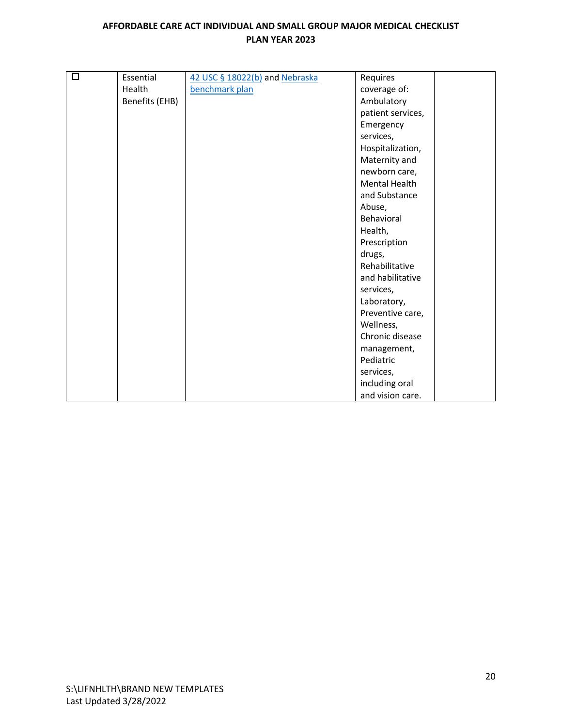| $\Box$ | Essential      | 42 USC § 18022(b) and Nebraska | Requires             |
|--------|----------------|--------------------------------|----------------------|
|        | Health         | benchmark plan                 | coverage of:         |
|        | Benefits (EHB) |                                | Ambulatory           |
|        |                |                                | patient services,    |
|        |                |                                | Emergency            |
|        |                |                                | services,            |
|        |                |                                | Hospitalization,     |
|        |                |                                | Maternity and        |
|        |                |                                | newborn care,        |
|        |                |                                | <b>Mental Health</b> |
|        |                |                                | and Substance        |
|        |                |                                | Abuse,               |
|        |                |                                | Behavioral           |
|        |                |                                | Health,              |
|        |                |                                | Prescription         |
|        |                |                                | drugs,               |
|        |                |                                | Rehabilitative       |
|        |                |                                | and habilitative     |
|        |                |                                | services,            |
|        |                |                                | Laboratory,          |
|        |                |                                | Preventive care,     |
|        |                |                                | Wellness,            |
|        |                |                                | Chronic disease      |
|        |                |                                | management,          |
|        |                |                                | Pediatric            |
|        |                |                                | services,            |
|        |                |                                | including oral       |
|        |                |                                | and vision care.     |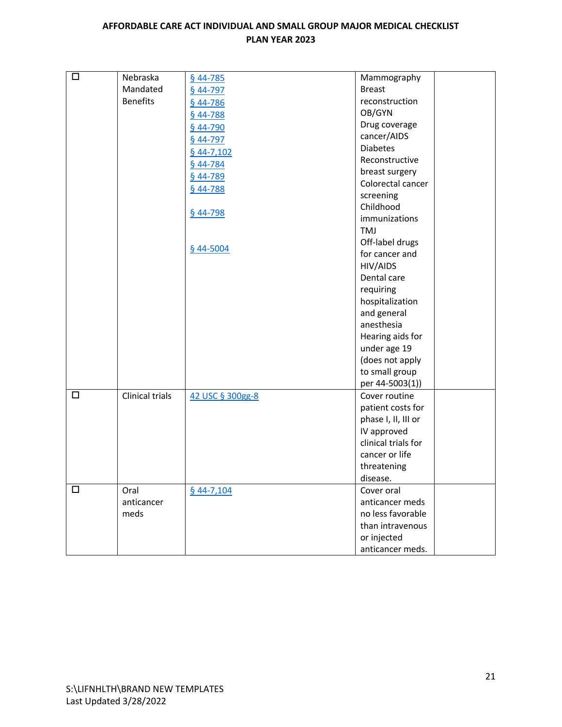| $\Box$ | Nebraska        | $$44-785$        | Mammography         |
|--------|-----------------|------------------|---------------------|
|        | Mandated        | § 44-797         | <b>Breast</b>       |
|        | <b>Benefits</b> | $§$ 44-786       | reconstruction      |
|        |                 | $$44-788$        | OB/GYN              |
|        |                 | $$44-790$        | Drug coverage       |
|        |                 | $$44-797$        | cancer/AIDS         |
|        |                 |                  | <b>Diabetes</b>     |
|        |                 | $$44-7,102$      | Reconstructive      |
|        |                 | $$44-784$        | breast surgery      |
|        |                 | § 44-789         | Colorectal cancer   |
|        |                 | $$44-788$        | screening           |
|        |                 |                  | Childhood           |
|        |                 | $$44-798$        | immunizations       |
|        |                 |                  | TMJ                 |
|        |                 |                  | Off-label drugs     |
|        |                 | § 44-5004        | for cancer and      |
|        |                 |                  | HIV/AIDS            |
|        |                 |                  | Dental care         |
|        |                 |                  | requiring           |
|        |                 |                  | hospitalization     |
|        |                 |                  | and general         |
|        |                 |                  | anesthesia          |
|        |                 |                  | Hearing aids for    |
|        |                 |                  | under age 19        |
|        |                 |                  | (does not apply     |
|        |                 |                  | to small group      |
|        |                 |                  | per 44-5003(1))     |
| $\Box$ | Clinical trials | 42 USC § 300gg-8 | Cover routine       |
|        |                 |                  | patient costs for   |
|        |                 |                  | phase I, II, III or |
|        |                 |                  | IV approved         |
|        |                 |                  | clinical trials for |
|        |                 |                  | cancer or life      |
|        |                 |                  | threatening         |
|        |                 |                  | disease.            |
| $\Box$ | Oral            | $§$ 44-7,104     | Cover oral          |
|        | anticancer      |                  | anticancer meds     |
|        | meds            |                  | no less favorable   |
|        |                 |                  | than intravenous    |
|        |                 |                  | or injected         |
|        |                 |                  | anticancer meds.    |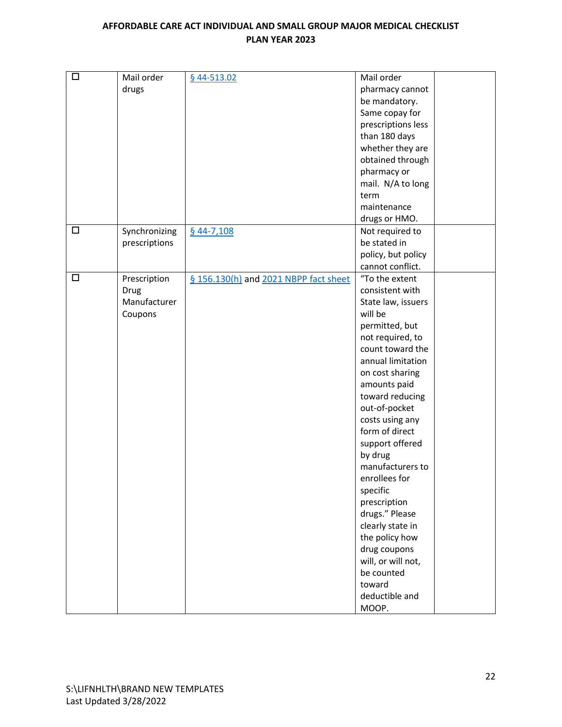| $\Box$ | Mail order    | § 44-513.02                           | Mail order         |
|--------|---------------|---------------------------------------|--------------------|
|        | drugs         |                                       | pharmacy cannot    |
|        |               |                                       | be mandatory.      |
|        |               |                                       | Same copay for     |
|        |               |                                       | prescriptions less |
|        |               |                                       | than 180 days      |
|        |               |                                       | whether they are   |
|        |               |                                       | obtained through   |
|        |               |                                       | pharmacy or        |
|        |               |                                       | mail. N/A to long  |
|        |               |                                       | term               |
|        |               |                                       | maintenance        |
|        |               |                                       | drugs or HMO.      |
| $\Box$ | Synchronizing | $$44-7,108$                           | Not required to    |
|        | prescriptions |                                       | be stated in       |
|        |               |                                       | policy, but policy |
|        |               |                                       | cannot conflict.   |
| $\Box$ | Prescription  | § 156.130(h) and 2021 NBPP fact sheet | "To the extent     |
|        | Drug          |                                       | consistent with    |
|        | Manufacturer  |                                       | State law, issuers |
|        | Coupons       |                                       | will be            |
|        |               |                                       | permitted, but     |
|        |               |                                       | not required, to   |
|        |               |                                       | count toward the   |
|        |               |                                       |                    |
|        |               |                                       | annual limitation  |
|        |               |                                       | on cost sharing    |
|        |               |                                       | amounts paid       |
|        |               |                                       | toward reducing    |
|        |               |                                       | out-of-pocket      |
|        |               |                                       | costs using any    |
|        |               |                                       | form of direct     |
|        |               |                                       | support offered    |
|        |               |                                       | by drug            |
|        |               |                                       | manufacturers to   |
|        |               |                                       | enrollees for      |
|        |               |                                       | specific           |
|        |               |                                       | prescription       |
|        |               |                                       | drugs." Please     |
|        |               |                                       | clearly state in   |
|        |               |                                       | the policy how     |
|        |               |                                       | drug coupons       |
|        |               |                                       | will, or will not, |
|        |               |                                       | be counted         |
|        |               |                                       | toward             |
|        |               |                                       | deductible and     |
|        |               |                                       | MOOP.              |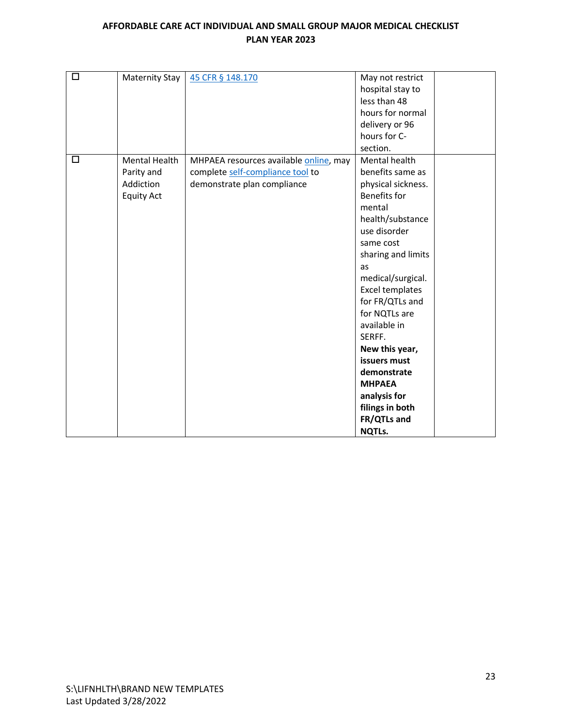| □ | <b>Maternity Stay</b> | 45 CFR § 148.170                       | May not restrict       |
|---|-----------------------|----------------------------------------|------------------------|
|   |                       |                                        | hospital stay to       |
|   |                       |                                        | less than 48           |
|   |                       |                                        | hours for normal       |
|   |                       |                                        | delivery or 96         |
|   |                       |                                        | hours for C-           |
|   |                       |                                        | section.               |
| □ | <b>Mental Health</b>  | MHPAEA resources available online, may | Mental health          |
|   | Parity and            | complete self-compliance tool to       | benefits same as       |
|   | Addiction             | demonstrate plan compliance            | physical sickness.     |
|   | <b>Equity Act</b>     |                                        | <b>Benefits for</b>    |
|   |                       |                                        | mental                 |
|   |                       |                                        | health/substance       |
|   |                       |                                        | use disorder           |
|   |                       |                                        | same cost              |
|   |                       |                                        | sharing and limits     |
|   |                       |                                        | as                     |
|   |                       |                                        | medical/surgical.      |
|   |                       |                                        | <b>Excel templates</b> |
|   |                       |                                        | for FR/QTLs and        |
|   |                       |                                        | for NQTLs are          |
|   |                       |                                        | available in           |
|   |                       |                                        | SERFF.                 |
|   |                       |                                        | New this year,         |
|   |                       |                                        | issuers must           |
|   |                       |                                        | demonstrate            |
|   |                       |                                        | <b>MHPAEA</b>          |
|   |                       |                                        | analysis for           |
|   |                       |                                        | filings in both        |
|   |                       |                                        | FR/QTLs and            |
|   |                       |                                        | <b>NQTLs.</b>          |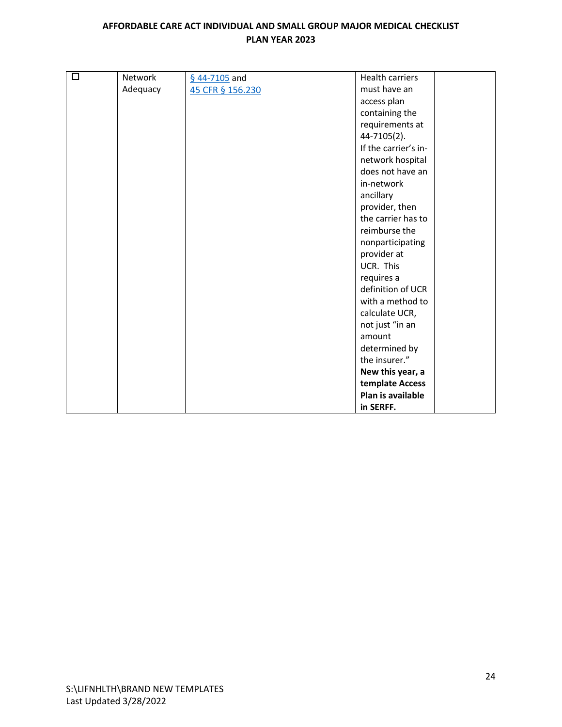| $\Box$ | <b>Network</b> | $$44-7105$ and   | <b>Health carriers</b>              |
|--------|----------------|------------------|-------------------------------------|
|        | Adequacy       | 45 CFR § 156.230 | must have an                        |
|        |                |                  | access plan                         |
|        |                |                  | containing the                      |
|        |                |                  |                                     |
|        |                |                  | requirements at                     |
|        |                |                  | 44-7105(2).<br>If the carrier's in- |
|        |                |                  |                                     |
|        |                |                  | network hospital                    |
|        |                |                  | does not have an                    |
|        |                |                  | in-network                          |
|        |                |                  | ancillary                           |
|        |                |                  | provider, then                      |
|        |                |                  | the carrier has to                  |
|        |                |                  | reimburse the                       |
|        |                |                  | nonparticipating                    |
|        |                |                  | provider at                         |
|        |                |                  | UCR. This                           |
|        |                |                  | requires a                          |
|        |                |                  | definition of UCR                   |
|        |                |                  | with a method to                    |
|        |                |                  | calculate UCR,                      |
|        |                |                  | not just "in an                     |
|        |                |                  | amount                              |
|        |                |                  | determined by                       |
|        |                |                  | the insurer."                       |
|        |                |                  | New this year, a                    |
|        |                |                  | template Access                     |
|        |                |                  | Plan is available                   |
|        |                |                  | in SERFF.                           |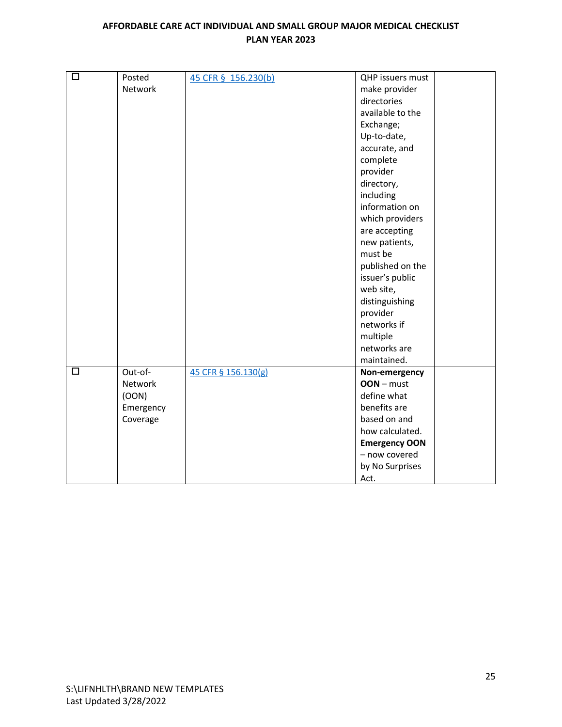| $\Box$ | Posted    |                     | QHP issuers must     |
|--------|-----------|---------------------|----------------------|
|        |           | 45 CFR § 156.230(b) |                      |
|        | Network   |                     | make provider        |
|        |           |                     | directories          |
|        |           |                     | available to the     |
|        |           |                     | Exchange;            |
|        |           |                     | Up-to-date,          |
|        |           |                     | accurate, and        |
|        |           |                     | complete             |
|        |           |                     | provider             |
|        |           |                     | directory,           |
|        |           |                     | including            |
|        |           |                     | information on       |
|        |           |                     | which providers      |
|        |           |                     | are accepting        |
|        |           |                     | new patients,        |
|        |           |                     | must be              |
|        |           |                     | published on the     |
|        |           |                     | issuer's public      |
|        |           |                     | web site,            |
|        |           |                     | distinguishing       |
|        |           |                     | provider             |
|        |           |                     | networks if          |
|        |           |                     | multiple             |
|        |           |                     | networks are         |
|        |           |                     | maintained.          |
| □      | Out-of-   | 45 CFR § 156.130(g) | Non-emergency        |
|        | Network   |                     | $OOD – must$         |
|        | (00N)     |                     | define what          |
|        | Emergency |                     | benefits are         |
|        | Coverage  |                     | based on and         |
|        |           |                     | how calculated.      |
|        |           |                     | <b>Emergency OON</b> |
|        |           |                     | - now covered        |
|        |           |                     | by No Surprises      |
|        |           |                     | Act.                 |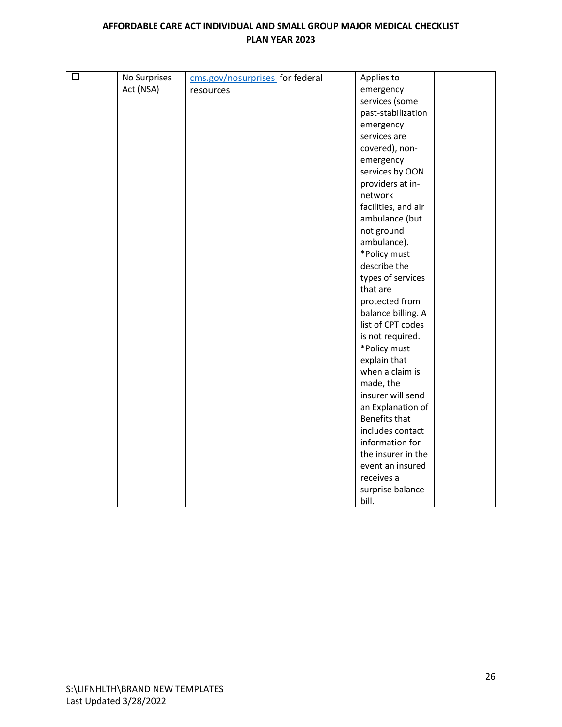| $\Box$ | No Surprises | cms.gov/nosurprises_for federal | Applies to           |
|--------|--------------|---------------------------------|----------------------|
|        | Act (NSA)    | resources                       | emergency            |
|        |              |                                 | services (some       |
|        |              |                                 | past-stabilization   |
|        |              |                                 | emergency            |
|        |              |                                 | services are         |
|        |              |                                 | covered), non-       |
|        |              |                                 | emergency            |
|        |              |                                 | services by OON      |
|        |              |                                 | providers at in-     |
|        |              |                                 | network              |
|        |              |                                 | facilities, and air  |
|        |              |                                 | ambulance (but       |
|        |              |                                 | not ground           |
|        |              |                                 | ambulance).          |
|        |              |                                 | *Policy must         |
|        |              |                                 | describe the         |
|        |              |                                 | types of services    |
|        |              |                                 | that are             |
|        |              |                                 | protected from       |
|        |              |                                 | balance billing. A   |
|        |              |                                 | list of CPT codes    |
|        |              |                                 | is not required.     |
|        |              |                                 | *Policy must         |
|        |              |                                 | explain that         |
|        |              |                                 | when a claim is      |
|        |              |                                 | made, the            |
|        |              |                                 | insurer will send    |
|        |              |                                 | an Explanation of    |
|        |              |                                 | <b>Benefits that</b> |
|        |              |                                 | includes contact     |
|        |              |                                 | information for      |
|        |              |                                 | the insurer in the   |
|        |              |                                 | event an insured     |
|        |              |                                 | receives a           |
|        |              |                                 | surprise balance     |
|        |              |                                 | bill.                |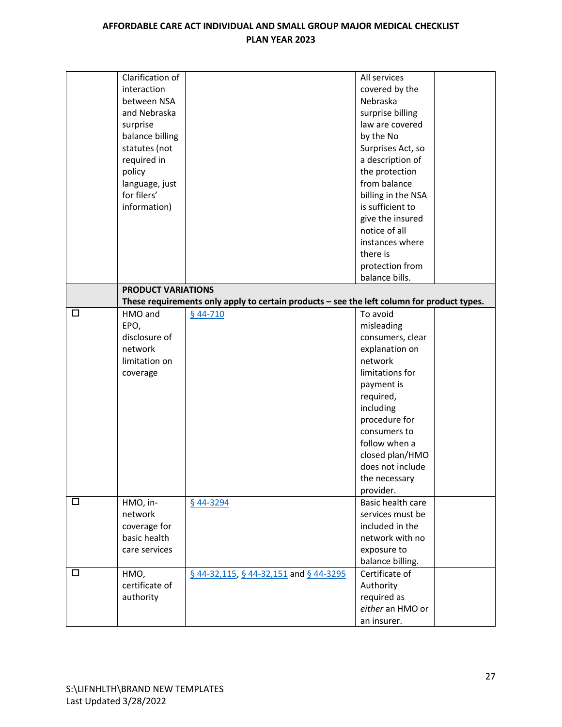|        | Clarification of          |                                                                                            | All services       |
|--------|---------------------------|--------------------------------------------------------------------------------------------|--------------------|
|        | interaction               |                                                                                            | covered by the     |
|        | between NSA               |                                                                                            | Nebraska           |
|        | and Nebraska              |                                                                                            | surprise billing   |
|        | surprise                  |                                                                                            | law are covered    |
|        | balance billing           |                                                                                            | by the No          |
|        | statutes (not             |                                                                                            | Surprises Act, so  |
|        | required in               |                                                                                            | a description of   |
|        | policy                    |                                                                                            | the protection     |
|        | language, just            |                                                                                            | from balance       |
|        | for filers'               |                                                                                            | billing in the NSA |
|        | information)              |                                                                                            | is sufficient to   |
|        |                           |                                                                                            | give the insured   |
|        |                           |                                                                                            | notice of all      |
|        |                           |                                                                                            | instances where    |
|        |                           |                                                                                            | there is           |
|        |                           |                                                                                            | protection from    |
|        |                           |                                                                                            | balance bills.     |
|        | <b>PRODUCT VARIATIONS</b> |                                                                                            |                    |
|        |                           | These requirements only apply to certain products - see the left column for product types. |                    |
| □      | HMO and                   | $$44-710$                                                                                  | To avoid           |
|        | EPO,                      |                                                                                            | misleading         |
|        | disclosure of             |                                                                                            | consumers, clear   |
|        | network                   |                                                                                            | explanation on     |
|        | limitation on             |                                                                                            | network            |
|        | coverage                  |                                                                                            | limitations for    |
|        |                           |                                                                                            | payment is         |
|        |                           |                                                                                            | required,          |
|        |                           |                                                                                            | including          |
|        |                           |                                                                                            | procedure for      |
|        |                           |                                                                                            | consumers to       |
|        |                           |                                                                                            | follow when a      |
|        |                           |                                                                                            | closed plan/HMO    |
|        |                           |                                                                                            | does not include   |
|        |                           |                                                                                            | the necessary      |
|        |                           |                                                                                            | provider.          |
| □      | HMO, in-                  | § 44-3294                                                                                  | Basic health care  |
|        | network                   |                                                                                            | services must be   |
|        | coverage for              |                                                                                            | included in the    |
|        | basic health              |                                                                                            | network with no    |
|        | care services             |                                                                                            | exposure to        |
|        |                           |                                                                                            | balance billing.   |
| $\Box$ | HMO,                      | $\underline{6}$ 44-32,115, $\underline{6}$ 44-32,151 and $\underline{6}$ 44-3295           | Certificate of     |
|        | certificate of            |                                                                                            | Authority          |
|        | authority                 |                                                                                            | required as        |
|        |                           |                                                                                            | either an HMO or   |
|        |                           |                                                                                            | an insurer.        |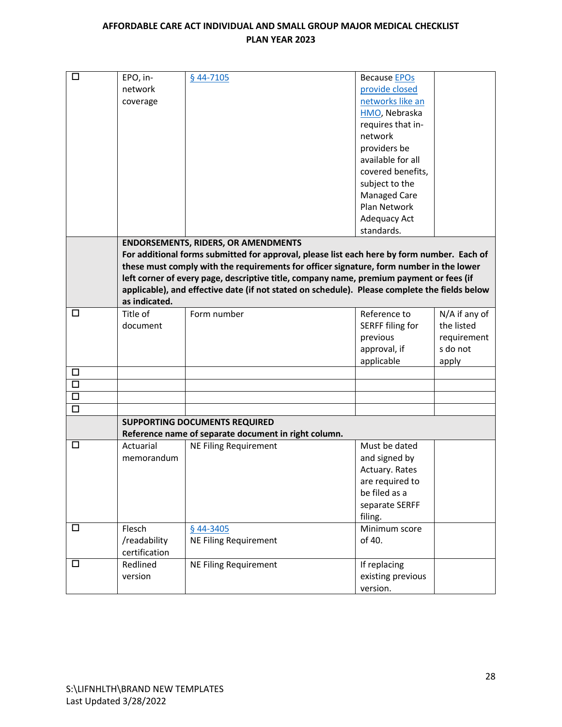| $\Box$ | EPO, in-                                                                                      | § 44-7105                                                                                  | <b>Because EPOs</b> |               |  |
|--------|-----------------------------------------------------------------------------------------------|--------------------------------------------------------------------------------------------|---------------------|---------------|--|
|        | network                                                                                       |                                                                                            | provide closed      |               |  |
|        |                                                                                               |                                                                                            | networks like an    |               |  |
|        | coverage                                                                                      |                                                                                            |                     |               |  |
|        |                                                                                               |                                                                                            | HMO, Nebraska       |               |  |
|        |                                                                                               |                                                                                            | requires that in-   |               |  |
|        |                                                                                               |                                                                                            | network             |               |  |
|        |                                                                                               |                                                                                            | providers be        |               |  |
|        |                                                                                               |                                                                                            | available for all   |               |  |
|        |                                                                                               |                                                                                            | covered benefits,   |               |  |
|        |                                                                                               |                                                                                            | subject to the      |               |  |
|        |                                                                                               |                                                                                            | <b>Managed Care</b> |               |  |
|        |                                                                                               |                                                                                            | Plan Network        |               |  |
|        |                                                                                               |                                                                                            | Adequacy Act        |               |  |
|        |                                                                                               |                                                                                            | standards.          |               |  |
|        |                                                                                               | <b>ENDORSEMENTS, RIDERS, OR AMENDMENTS</b>                                                 |                     |               |  |
|        |                                                                                               | For additional forms submitted for approval, please list each here by form number. Each of |                     |               |  |
|        |                                                                                               | these must comply with the requirements for officer signature, form number in the lower    |                     |               |  |
|        | left corner of every page, descriptive title, company name, premium payment or fees (if       |                                                                                            |                     |               |  |
|        | applicable), and effective date (if not stated on schedule). Please complete the fields below |                                                                                            |                     |               |  |
|        | as indicated.                                                                                 |                                                                                            |                     |               |  |
| $\Box$ | Title of                                                                                      | Form number                                                                                | Reference to        | N/A if any of |  |
|        | document                                                                                      |                                                                                            | SERFF filing for    | the listed    |  |
|        |                                                                                               |                                                                                            | previous            | requirement   |  |
|        |                                                                                               |                                                                                            | approval, if        | s do not      |  |
|        |                                                                                               |                                                                                            | applicable          | apply         |  |
| $\Box$ |                                                                                               |                                                                                            |                     |               |  |
| $\Box$ |                                                                                               |                                                                                            |                     |               |  |
| $\Box$ |                                                                                               |                                                                                            |                     |               |  |
| $\Box$ |                                                                                               |                                                                                            |                     |               |  |
|        |                                                                                               | <b>SUPPORTING DOCUMENTS REQUIRED</b>                                                       |                     |               |  |
|        |                                                                                               | Reference name of separate document in right column.                                       |                     |               |  |
| □      | Actuarial                                                                                     | <b>NE Filing Requirement</b>                                                               | Must be dated       |               |  |
|        | memorandum                                                                                    |                                                                                            | and signed by       |               |  |
|        |                                                                                               |                                                                                            | Actuary. Rates      |               |  |
|        |                                                                                               |                                                                                            | are required to     |               |  |
|        |                                                                                               |                                                                                            | be filed as a       |               |  |
|        |                                                                                               |                                                                                            | separate SERFF      |               |  |
|        |                                                                                               |                                                                                            | filing.             |               |  |
| □      | Flesch                                                                                        | § 44-3405                                                                                  | Minimum score       |               |  |
|        | /readability                                                                                  | <b>NE Filing Requirement</b>                                                               | of 40.              |               |  |
|        | certification                                                                                 |                                                                                            |                     |               |  |
| $\Box$ | Redlined                                                                                      | <b>NE Filing Requirement</b>                                                               | If replacing        |               |  |
|        | version                                                                                       |                                                                                            | existing previous   |               |  |
|        |                                                                                               |                                                                                            |                     |               |  |
|        |                                                                                               |                                                                                            | version.            |               |  |